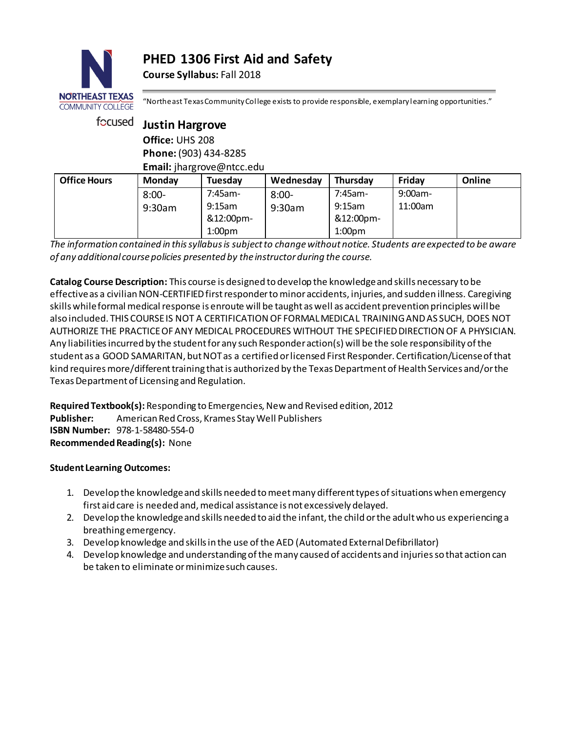# **PHED 1306 First Aid and Safety**

**Course Syllabus:** Fall 2018



"Northeast Texas Community College exists to provide responsible, exemplary learning opportunities."

| focused             | <b>Justin Hargrove</b><br>Office: UHS 208<br>Phone: (903) 434-8285<br>Email: jhargrove@ntcc.edu |                    |           |                    |            |        |  |
|---------------------|-------------------------------------------------------------------------------------------------|--------------------|-----------|--------------------|------------|--------|--|
|                     |                                                                                                 |                    |           |                    |            |        |  |
| <b>Office Hours</b> | <b>Monday</b>                                                                                   | Tuesday            | Wednesday | Thursday           | Friday     | Online |  |
|                     | $8:00 -$                                                                                        | $7:45$ am-         | $8:00 -$  | 7:45am-            | $9:00am -$ |        |  |
|                     | 9:30am                                                                                          | $9:15$ am          | 9:30am    | $9:15$ am          | 11:00am    |        |  |
|                     |                                                                                                 | &12:00pm-          |           | &12:00pm-          |            |        |  |
|                     |                                                                                                 | 1:00 <sub>pm</sub> |           | 1:00 <sub>pm</sub> |            |        |  |

*The information contained in this syllabus is subject to change without notice. Students are expected to be aware of any additional course policies presented by the instructor during the course.*

**Catalog Course Description:** This course is designed to develop the knowledge and skills necessary to be effective as a civilian NON-CERTIFIED first responder to minor accidents, injuries, and sudden illness. Caregiving skills while formal medical response is enroute will be taught as well as accident prevention principles will be also included. THIS COURSE IS NOT A CERTIFICATION OF FORMAL MEDICAL TRAINING AND AS SUCH, DOES NOT AUTHORIZE THE PRACTICE OF ANY MEDICAL PROCEDURES WITHOUT THE SPECIFIED DIRECTION OF A PHYSICIAN. Any liabilities incurred by the student for any such Responder action(s) will be the sole responsibility of the student as a GOOD SAMARITAN, but NOT as a certified or licensed First Responder. Certification/License of that kind requires more/different training that is authorized by the Texas Department of Health Services and/or the Texas Department of Licensing and Regulation.

**Required Textbook(s):** Responding to Emergencies, New and Revised edition, 2012 **Publisher:** American Red Cross, Krames Stay Well Publishers **ISBN Number:** 978-1-58480-554-0 **Recommended Reading(s):** None

## **Student Learning Outcomes:**

- 1. Develop the knowledge and skills needed to meet many different types of situations when emergency first aid care is needed and, medical assistance is not excessively delayed.
- 2. Develop the knowledge and skills needed to aid the infant, the child or the adult who us experiencing a breathing emergency.
- 3. Develop knowledge and skills in the use of the AED (Automated External Defibrillator)
- 4. Develop knowledge and understanding of the many caused of accidents and injuries so that action can be taken to eliminate or minimize such causes.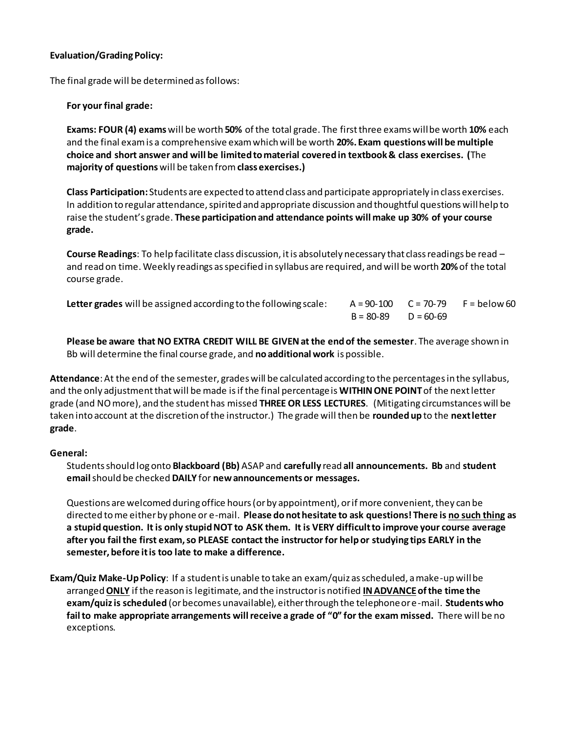#### **Evaluation/Grading Policy:**

The final grade will be determined as follows:

#### **For your final grade:**

**Exams: FOUR (4) exams**will be worth **50%** of the total grade. The first three exams will be worth **10%** each and the final exam is a comprehensive exam which will be worth **20%. Exam questions will be multiple choice and short answer and will be limited to material covered in textbook & class exercises. (**The **majority of questions** will be taken from**class exercises.)**

**Class Participation:** Students are expected to attend class and participate appropriately in class exercises. In addition to regular attendance, spirited and appropriate discussion and thoughtful questions will help to raise the student's grade. **These participation and attendance points will make up 30% of your course grade.**

**Course Readings**: To help facilitate class discussion, it is absolutely necessary that class readings be read – and read on time. Weekly readings as specified in syllabus are required, and will be worth **20%**of the total course grade.

| Letter grades will be assigned according to the following scale: |                         | $A = 90-100$ $C = 70-79$ $F =$ below 60 |
|------------------------------------------------------------------|-------------------------|-----------------------------------------|
|                                                                  | $B = 80-89$ $D = 60-69$ |                                         |

**Please be aware that NO EXTRA CREDIT WILL BE GIVEN at the end of the semester**. The average shown in Bb will determine the final course grade, and **no additional work** is possible.

**Attendance**:At the end of the semester, grades will be calculated according to the percentages in the syllabus, and the only adjustment that will be made is if the final percentage is **WITHIN ONE POINT**of the next letter grade (and NO more), and the student has missed **THREE OR LESS LECTURES**. (Mitigating circumstances will be taken into account at the discretion of the instructor.) The grade will then be **rounded up** to the **next letter grade**.

#### **General:**

Students should log onto **Blackboard (Bb)** ASAP and **carefully** read **all announcements. Bb** and **student email** should be checked **DAILY** for **new announcements or messages.** 

Questions are welcomed during office hours (or by appointment), or if more convenient, they can be directed to me either by phone or e-mail. **Please do not hesitate to ask questions! There is no such thing as a stupid question. It is only stupid NOT to ASK them. It is VERY difficult to improve your course average after you fail the first exam, so PLEASE contact the instructor for help or studying tips EARLY in the semester, before it is too late to make a difference.** 

**Exam/Quiz Make-Up Policy**: If a student is unable to take an exam/quiz as scheduled, a make-up will be arranged **ONLY** if the reason is legitimate, and the instructor is notified **IN ADVANCEof the time the exam/quiz is scheduled** (or becomes unavailable), either through the telephone or e-mail. **Students who fail to make appropriate arrangements will receive a grade of "0" for the exam missed.** There will be no exceptions.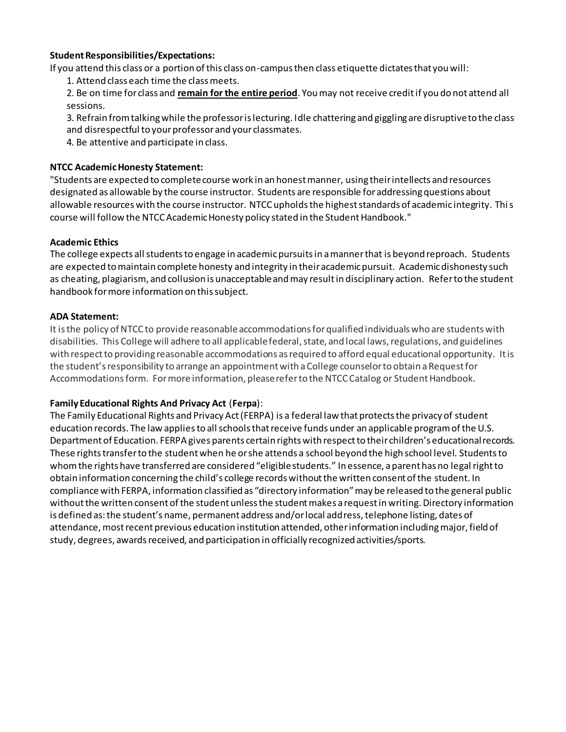#### **Student Responsibilities/Expectations:**

If you attend this class or a portion of this class on-campus then class etiquette dictates that you will:

1. Attend class each time the class meets.

2. Be on time for class and **remain for the entire period**. You may not receive credit if you do not attend all sessions.

3. Refrain from talking while the professor is lecturing. Idle chattering and giggling are disruptive to the class and disrespectful to your professor and your classmates.

4. Be attentive and participate in class.

#### **NTCC Academic Honesty Statement:**

"Students are expected to complete course work in an honest manner, using their intellects and resources designated as allowable by the course instructor. Students are responsible for addressing questions about allowable resources with the course instructor. NTCC upholds the highest standards of academic integrity. This course will follow the NTCC Academic Honesty policy stated in the Student Handbook."

#### **Academic Ethics**

The college expects all students to engage in academic pursuits in a manner that is beyond reproach. Students are expected to maintain complete honesty and integrity in their academic pursuit. Academic dishonesty such as cheating, plagiarism, and collusion is unacceptable and may result in disciplinary action. Refer to the student handbook for more information on this subject.

#### **ADA Statement:**

It is the policy of NTCC to provide reasonable accommodations for qualified individuals who are students with disabilities. This College will adhere to all applicable federal, state, and local laws, regulations, and guidelines with respect to providing reasonable accommodations as required to afford equal educational opportunity. It is the student's responsibility to arrange an appointment with a College counselor to obtain a Request for Accommodations form. For more information, please refer to the NTCC Catalog or Student Handbook.

## **Family Educational Rights And Privacy Act** (**Ferpa**):

The Family Educational Rights and Privacy Act (FERPA) is a federal law that protects the privacy of student education records. The law applies to all schools that receive funds under an applicable program of the U.S. Department of Education. FERPA gives parents certain rights with respect to their children's educational records. These rights transfer to the student when he or she attends a school beyond the high school level. Students to whom the rights have transferred are considered "eligible students." In essence, a parent has no legal right to obtain information concerning the child's college records without the written consent of the student. In compliance with FERPA, information classified as "directory information" may be released to the general public without the written consent of the student unless the student makes a request in writing. Directory information is defined as: the student's name, permanent address and/or local address, telephone listing, dates of attendance, most recent previous education institution attended, other information including major, field of study, degrees, awards received, and participation in officially recognized activities/sports.